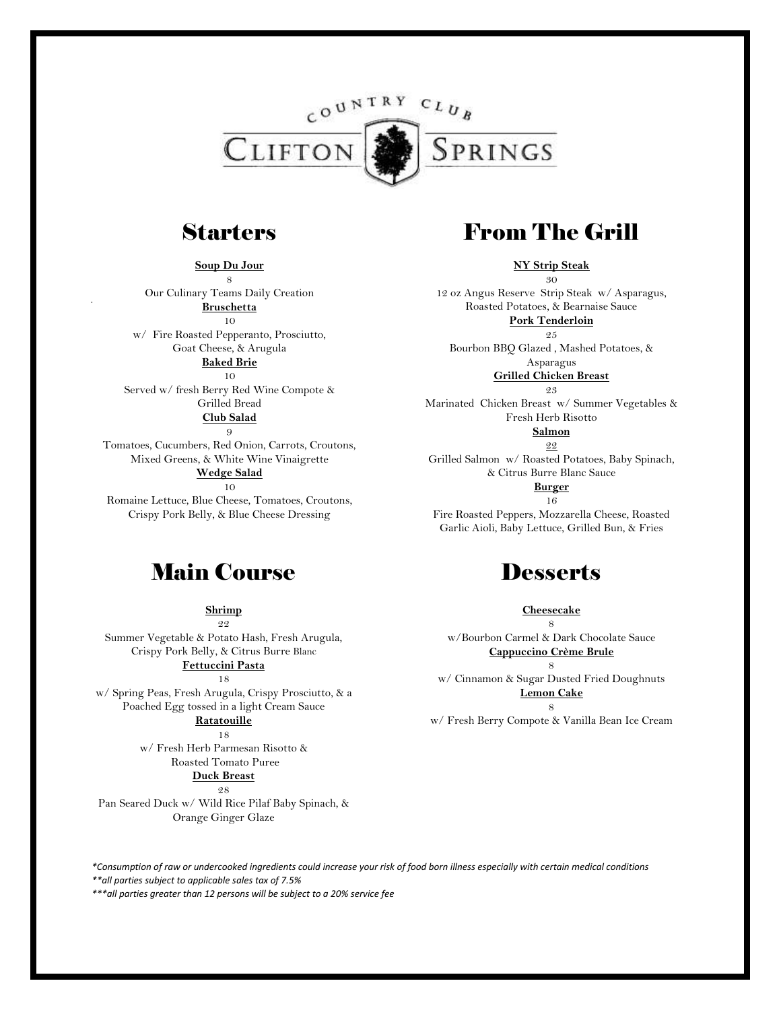

### **Starters**

**Soup Du Jour** 8

Our Culinary Teams Daily Creation **Bruschetta** 10 w/ Fire Roasted Pepperanto, Prosciutto, Goat Cheese, & Arugula **Baked Brie**

10

Served w/ fresh Berry Red Wine Compote & Grilled Bread **Club Salad**

9

Tomatoes, Cucumbers, Red Onion, Carrots, Croutons, Mixed Greens, & White Wine Vinaigrette **Wedge Salad** 10

Romaine Lettuce, Blue Cheese, Tomatoes, Croutons, Crispy Pork Belly, & Blue Cheese Dressing

### Main Course

**Shrimp** 9.9

Summer Vegetable & Potato Hash, Fresh Arugula, Crispy Pork Belly, & Citrus Burre Blanc **Fettuccini Pasta**

18

w/ Spring Peas, Fresh Arugula, Crispy Prosciutto, & a Poached Egg tossed in a light Cream Sauce **Ratatouille**

18

w/ Fresh Herb Parmesan Risotto & Roasted Tomato Puree

**Duck Breast**

98 Pan Seared Duck w/ Wild Rice Pilaf Baby Spinach, & Orange Ginger Glaze

# From The Grill

**NY Strip Steak** 30

12 oz Angus Reserve Strip Steak w/ Asparagus, Roasted Potatoes, & Bearnaise Sauce **Pork Tenderloin**  $9.5$ 

Bourbon BBQ Glazed , Mashed Potatoes, & Asparagus

> **Grilled Chicken Breast**  $9.3$

Marinated Chicken Breast w/ Summer Vegetables & Fresh Herb Risotto **Salmon**

22

Grilled Salmon w/ Roasted Potatoes, Baby Spinach, & Citrus Burre Blanc Sauce

> **Burger** 16

Fire Roasted Peppers, Mozzarella Cheese, Roasted Garlic Aioli, Baby Lettuce, Grilled Bun, & Fries

## **Desserts**

**Cheesecake**

8 w/Bourbon Carmel & Dark Chocolate Sauce **Cappuccino Crème Brule**

8 w/ Cinnamon & Sugar Dusted Fried Doughnuts **Lemon Cake**

8 w/ Fresh Berry Compote & Vanilla Bean Ice Cream

*\*Consumption of raw or undercooked ingredients could increase your risk of food born illness especially with certain medical conditions \*\*all parties subject to applicable sales tax of 7.5%*

*\*\*\*all parties greater than 12 persons will be subject to a 20% service fee*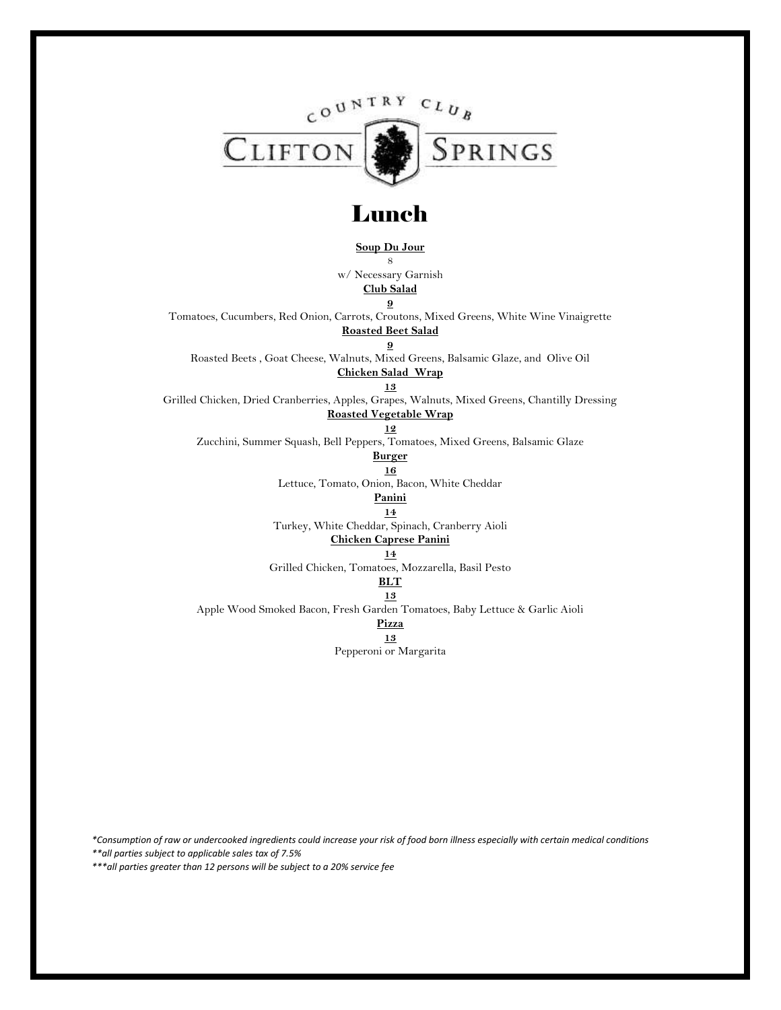

## Lunch

**Soup Du Jour**

8

w/ Necessary Garnish **Club Salad**

**9**

Tomatoes, Cucumbers, Red Onion, Carrots, Croutons, Mixed Greens, White Wine Vinaigrette **Roasted Beet Salad**

**9**

Roasted Beets , Goat Cheese, Walnuts, Mixed Greens, Balsamic Glaze, and Olive Oil

**Chicken Salad Wrap 13**

Grilled Chicken, Dried Cranberries, Apples, Grapes, Walnuts, Mixed Greens, Chantilly Dressing **Roasted Vegetable Wrap**

#### **12**

Zucchini, Summer Squash, Bell Peppers, Tomatoes, Mixed Greens, Balsamic Glaze

#### **Burger**

**16** Lettuce, Tomato, Onion, Bacon, White Cheddar

**Panini**

**14**

Turkey, White Cheddar, Spinach, Cranberry Aioli

**Chicken Caprese Panini**

**14**

Grilled Chicken, Tomatoes, Mozzarella, Basil Pesto

### **BLT**

**13** Apple Wood Smoked Bacon, Fresh Garden Tomatoes, Baby Lettuce & Garlic Aioli

### **Pizza**

**13**

Pepperoni or Margarita

*\*Consumption of raw or undercooked ingredients could increase your risk of food born illness especially with certain medical conditions \*\*all parties subject to applicable sales tax of 7.5%*

*\*\*\*all parties greater than 12 persons will be subject to a 20% service fee*